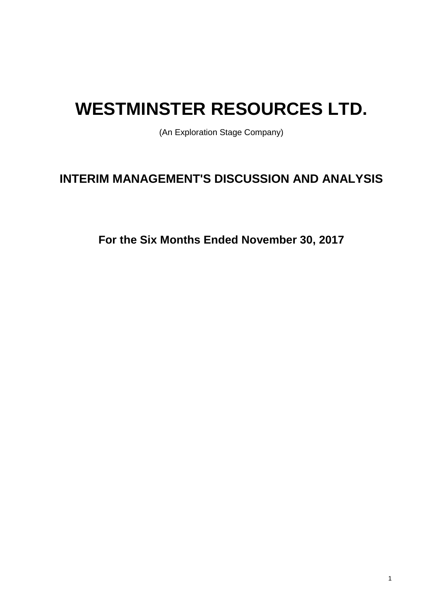# **WESTMINSTER RESOURCES LTD.**

(An Exploration Stage Company)

# **INTERIM MANAGEMENT'S DISCUSSION AND ANALYSIS**

**For the Six Months Ended November 30, 2017**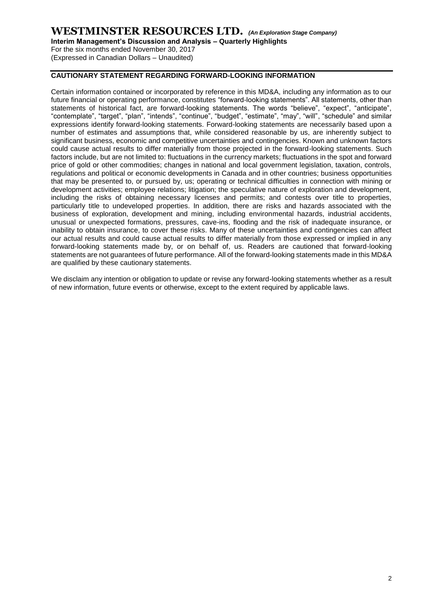**Interim Management's Discussion and Analysis – Quarterly Highlights**

For the six months ended November 30, 2017 (Expressed in Canadian Dollars – Unaudited)

#### **CAUTIONARY STATEMENT REGARDING FORWARD-LOOKING INFORMATION**

Certain information contained or incorporated by reference in this MD&A, including any information as to our future financial or operating performance, constitutes "forward-looking statements". All statements, other than statements of historical fact, are forward-looking statements. The words "believe", "expect", "anticipate", "contemplate", "target", "plan", "intends", "continue", "budget", "estimate", "may", "will", "schedule" and similar expressions identify forward-looking statements. Forward-looking statements are necessarily based upon a number of estimates and assumptions that, while considered reasonable by us, are inherently subject to significant business, economic and competitive uncertainties and contingencies. Known and unknown factors could cause actual results to differ materially from those projected in the forward-looking statements. Such factors include, but are not limited to: fluctuations in the currency markets; fluctuations in the spot and forward price of gold or other commodities; changes in national and local government legislation, taxation, controls, regulations and political or economic developments in Canada and in other countries; business opportunities that may be presented to, or pursued by, us; operating or technical difficulties in connection with mining or development activities; employee relations; litigation; the speculative nature of exploration and development, including the risks of obtaining necessary licenses and permits; and contests over title to properties, particularly title to undeveloped properties. In addition, there are risks and hazards associated with the business of exploration, development and mining, including environmental hazards, industrial accidents, unusual or unexpected formations, pressures, cave-ins, flooding and the risk of inadequate insurance, or inability to obtain insurance, to cover these risks. Many of these uncertainties and contingencies can affect our actual results and could cause actual results to differ materially from those expressed or implied in any forward-looking statements made by, or on behalf of, us. Readers are cautioned that forward-looking statements are not guarantees of future performance. All of the forward-looking statements made in this MD&A are qualified by these cautionary statements.

We disclaim any intention or obligation to update or revise any forward-looking statements whether as a result of new information, future events or otherwise, except to the extent required by applicable laws.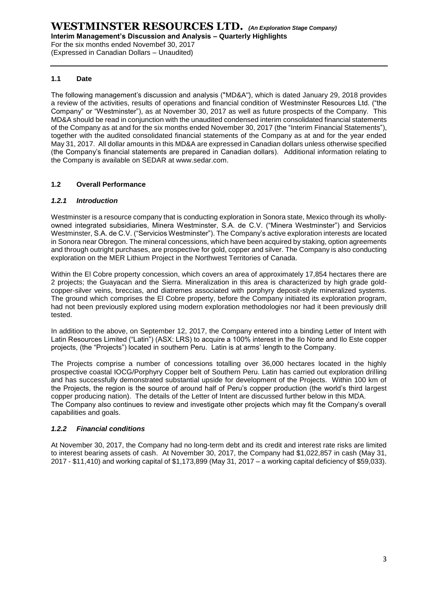**Interim Management's Discussion and Analysis – Quarterly Highlights**

For the six months ended Novembef 30, 2017 (Expressed in Canadian Dollars – Unaudited)

#### **1.1 Date**

The following management's discussion and analysis ("MD&A"), which is dated January 29, 2018 provides a review of the activities, results of operations and financial condition of Westminster Resources Ltd. ("the Company" or "Westminster"), as at November 30, 2017 as well as future prospects of the Company. This MD&A should be read in conjunction with the unaudited condensed interim consolidated financial statements of the Company as at and for the six months ended November 30, 2017 (the "Interim Financial Statements"), together with the audited consolidated financial statements of the Company as at and for the year ended May 31, 2017. All dollar amounts in this MD&A are expressed in Canadian dollars unless otherwise specified (the Company's financial statements are prepared in Canadian dollars). Additional information relating to the Company is available on SEDAR at www.sedar.com.

#### **1.2 Overall Performance**

#### *1.2.1 Introduction*

Westminster is a resource company that is conducting exploration in Sonora state, Mexico through its whollyowned integrated subsidiaries, Minera Westminster, S.A. de C.V. ("Minera Westminster") and Servicios Westminster, S.A. de C.V. ("Servicios Westminster"). The Company's active exploration interests are located in Sonora near Obregon. The mineral concessions, which have been acquired by staking, option agreements and through outright purchases, are prospective for gold, copper and silver. The Company is also conducting exploration on the MER Lithium Project in the Northwest Territories of Canada.

Within the El Cobre property concession, which covers an area of approximately 17,854 hectares there are 2 projects; the Guayacan and the Sierra. Mineralization in this area is characterized by high grade goldcopper-silver veins, breccias, and diatremes associated with porphyry deposit-style mineralized systems. The ground which comprises the El Cobre property, before the Company initiated its exploration program, had not been previously explored using modern exploration methodologies nor had it been previously drill tested.

In addition to the above, on September 12, 2017, the Company entered into a binding Letter of Intent with Latin Resources Limited ("Latin") (ASX: LRS) to acquire a 100% interest in the Ilo Norte and Ilo Este copper projects, (the "Projects") located in southern Peru. Latin is at arms' length to the Company.

The Projects comprise a number of concessions totalling over 36,000 hectares located in the highly prospective coastal IOCG/Porphyry Copper belt of Southern Peru. Latin has carried out exploration drilling and has successfully demonstrated substantial upside for development of the Projects. Within 100 km of the Projects, the region is the source of around half of Peru's copper production (the world's third largest copper producing nation). The details of the Letter of Intent are discussed further below in this MDA. The Company also continues to review and investigate other projects which may fit the Company's overall capabilities and goals.

#### *1.2.2 Financial conditions*

At November 30, 2017, the Company had no long-term debt and its credit and interest rate risks are limited to interest bearing assets of cash. At November 30, 2017, the Company had \$1,022,857 in cash (May 31, 2017 - \$11,410) and working capital of \$1,173,899 (May 31, 2017 – a working capital deficiency of \$59,033).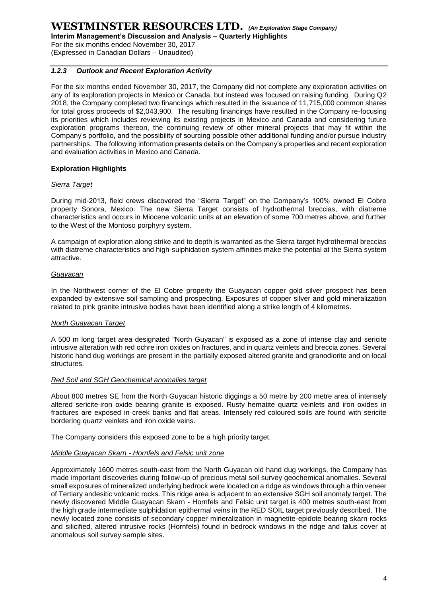**Interim Management's Discussion and Analysis – Quarterly Highlights**

For the six months ended November 30, 2017 (Expressed in Canadian Dollars – Unaudited)

#### *1.2.3 Outlook and Recent Exploration Activity*

For the six months ended November 30, 2017, the Company did not complete any exploration activities on any of its exploration projects in Mexico or Canada, but instead was focused on raising funding. During Q2 2018, the Company completed two financings which resulted in the issuance of 11,715,000 common shares for total gross proceeds of \$2,043,900. The resulting financings have resulted in the Company re-focusing its priorities which includes reviewing its existing projects in Mexico and Canada and considering future exploration programs thereon, the continuing review of other mineral projects that may fit within the Company's portfolio, and the possibility of sourcing possible other additional funding and/or pursue industry partnerships. The following information presents details on the Company's properties and recent exploration and evaluation activities in Mexico and Canada.

#### **Exploration Highlights**

#### *Sierra Target*

During mid-2013, field crews discovered the "Sierra Target" on the Company's 100% owned El Cobre property Sonora, Mexico. The new Sierra Target consists of hydrothermal breccias, with diatreme characteristics and occurs in Miocene volcanic units at an elevation of some 700 metres above, and further to the West of the Montoso porphyry system.

A campaign of exploration along strike and to depth is warranted as the Sierra target hydrothermal breccias with diatreme characteristics and high-sulphidation system affinities make the potential at the Sierra system attractive.

#### *Guayacan*

In the Northwest corner of the El Cobre property the Guayacan copper gold silver prospect has been expanded by extensive soil sampling and prospecting. Exposures of copper silver and gold mineralization related to pink granite intrusive bodies have been identified along a strike length of 4 kilometres.

#### *North Guayacan Target*

A 500 m long target area designated "North Guyacan" is exposed as a zone of intense clay and sericite intrusive alteration with red ochre iron oxides on fractures, and in quartz veinlets and breccia zones. Several historic hand dug workings are present in the partially exposed altered granite and granodiorite and on local structures.

#### *Red Soil and SGH Geochemical anomalies target*

About 800 metres SE from the North Guyacan historic diggings a 50 metre by 200 metre area of intensely altered sericite-iron oxide bearing granite is exposed. Rusty hematite quartz veinlets and iron oxides in fractures are exposed in creek banks and flat areas. Intensely red coloured soils are found with sericite bordering quartz veinlets and iron oxide veins.

The Company considers this exposed zone to be a high priority target.

#### *Middle Guayacan Skarn - Hornfels and Felsic unit zone*

Approximately 1600 metres south-east from the North Guyacan old hand dug workings, the Company has made important discoveries during follow-up of precious metal soil survey geochemical anomalies. Several small exposures of mineralized underlying bedrock were located on a ridge as windows through a thin veneer of Tertiary andesitic volcanic rocks. This ridge area is adjacent to an extensive SGH soil anomaly target. The newly discovered Middle Guayacan Skarn - Hornfels and Felsic unit target is 400 metres south-east from the high grade intermediate sulphidation epithermal veins in the RED SOIL target previously described. The newly located zone consists of secondary copper mineralization in magnetite-epidote bearing skarn rocks and silicified, altered intrusive rocks (Hornfels) found in bedrock windows in the ridge and talus cover at anomalous soil survey sample sites.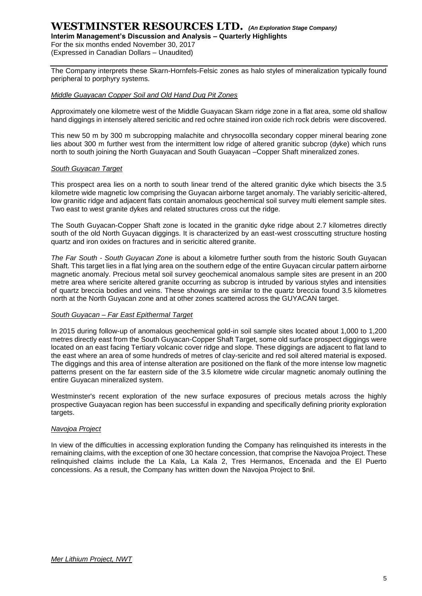**Interim Management's Discussion and Analysis – Quarterly Highlights**

For the six months ended November 30, 2017 (Expressed in Canadian Dollars – Unaudited)

The Company interprets these Skarn-Hornfels-Felsic zones as halo styles of mineralization typically found peripheral to porphyry systems.

#### *Middle Guayacan Copper Soil and Old Hand Dug Pit Zones*

Approximately one kilometre west of the Middle Guayacan Skarn ridge zone in a flat area, some old shallow hand diggings in intensely altered sericitic and red ochre stained iron oxide rich rock debris were discovered.

This new 50 m by 300 m subcropping malachite and chrysocollla secondary copper mineral bearing zone lies about 300 m further west from the intermittent low ridge of altered granitic subcrop (dyke) which runs north to south joining the North Guayacan and South Guayacan –Copper Shaft mineralized zones.

#### *South Guyacan Target*

This prospect area lies on a north to south linear trend of the altered granitic dyke which bisects the 3.5 kilometre wide magnetic low comprising the Guyacan airborne target anomaly. The variably sericitic-altered, low granitic ridge and adjacent flats contain anomalous geochemical soil survey multi element sample sites. Two east to west granite dykes and related structures cross cut the ridge.

The South Guyacan-Copper Shaft zone is located in the granitic dyke ridge about 2.7 kilometres directly south of the old North Guyacan diggings. It is characterized by an east-west crosscutting structure hosting quartz and iron oxides on fractures and in sericitic altered granite.

*The Far South - South Guyacan Zone* is about a kilometre further south from the historic South Guyacan Shaft. This target lies in a flat lying area on the southern edge of the entire Guyacan circular pattern airborne magnetic anomaly. Precious metal soil survey geochemical anomalous sample sites are present in an 200 metre area where sericite altered granite occurring as subcrop is intruded by various styles and intensities of quartz breccia bodies and veins. These showings are similar to the quartz breccia found 3.5 kilometres north at the North Guyacan zone and at other zones scattered across the GUYACAN target.

#### *South Guyacan – Far East Epithermal Target*

In 2015 during follow-up of anomalous geochemical gold-in soil sample sites located about 1,000 to 1,200 metres directly east from the South Guyacan-Copper Shaft Target, some old surface prospect diggings were located on an east facing Tertiary volcanic cover ridge and slope. These diggings are adjacent to flat land to the east where an area of some hundreds of metres of clay-sericite and red soil altered material is exposed. The diggings and this area of intense alteration are positioned on the flank of the more intense low magnetic patterns present on the far eastern side of the 3.5 kilometre wide circular magnetic anomaly outlining the entire Guyacan mineralized system.

Westminster's recent exploration of the new surface exposures of precious metals across the highly prospective Guayacan region has been successful in expanding and specifically defining priority exploration targets.

#### *Navojoa Project*

In view of the difficulties in accessing exploration funding the Company has relinquished its interests in the remaining claims, with the exception of one 30 hectare concession, that comprise the Navojoa Project. These relinquished claims include the La Kala, La Kala 2, Tres Hermanos, Encenada and the El Puerto concessions. As a result, the Company has written down the Navojoa Project to \$nil.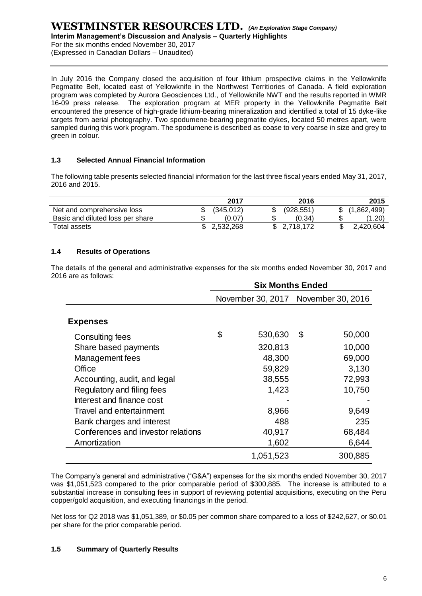**Interim Management's Discussion and Analysis – Quarterly Highlights**

For the six months ended November 30, 2017

(Expressed in Canadian Dollars – Unaudited)

In July 2016 the Company closed the acquisition of four lithium prospective claims in the Yellowknife Pegmatite Belt, located east of Yellowknife in the Northwest Territiories of Canada. A field exploration program was completed by Aurora Geosciences Ltd., of Yellowknife NWT and the results reported in WMR 16-09 press release. The exploration program at MER property in the Yellowknife Pegmatite Belt encountered the presence of high-grade lithium-bearing mineralization and identified a total of 15 dyke-like targets from aerial photography. Two spodumene-bearing pegmatite dykes, located 50 metres apart, were sampled during this work program. The spodumene is described as coase to very coarse in size and grey to green in colour.

### **1.3 Selected Annual Financial Information**

The following table presents selected financial information for the last three fiscal years ended May 31, 2017, 2016 and 2015.

|                                  | 2017      | 2016      | 2015             |
|----------------------------------|-----------|-----------|------------------|
| Net and comprehensive loss       | (345.012) | (928.551` | .862.499)        |
| Basic and diluted loss per share | (0.07)    | (0.34)    | .20 <sup>1</sup> |
| Total assets                     | 2,532,268 | 718. .    | 2,420,604        |

### **1.4 Results of Operations**

The details of the general and administrative expenses for the six months ended November 30, 2017 and 2016 are as follows:

|                                                                                                                                                                                                                                                                                                                                                                                                                                                                                                                                                  | <b>Six Months Ended</b> |           |                                     |         |  |
|--------------------------------------------------------------------------------------------------------------------------------------------------------------------------------------------------------------------------------------------------------------------------------------------------------------------------------------------------------------------------------------------------------------------------------------------------------------------------------------------------------------------------------------------------|-------------------------|-----------|-------------------------------------|---------|--|
|                                                                                                                                                                                                                                                                                                                                                                                                                                                                                                                                                  |                         |           | November 30, 2017 November 30, 2016 |         |  |
| <b>Expenses</b>                                                                                                                                                                                                                                                                                                                                                                                                                                                                                                                                  |                         |           |                                     |         |  |
| Consulting fees                                                                                                                                                                                                                                                                                                                                                                                                                                                                                                                                  | \$                      | 530,630   | \$                                  | 50,000  |  |
| Share based payments                                                                                                                                                                                                                                                                                                                                                                                                                                                                                                                             |                         | 320,813   |                                     | 10,000  |  |
| Management fees                                                                                                                                                                                                                                                                                                                                                                                                                                                                                                                                  |                         | 48,300    |                                     | 69,000  |  |
| Office                                                                                                                                                                                                                                                                                                                                                                                                                                                                                                                                           |                         | 59,829    |                                     | 3,130   |  |
| Accounting, audit, and legal                                                                                                                                                                                                                                                                                                                                                                                                                                                                                                                     |                         | 38,555    |                                     | 72,993  |  |
| Regulatory and filing fees                                                                                                                                                                                                                                                                                                                                                                                                                                                                                                                       |                         | 1,423     |                                     | 10,750  |  |
| Interest and finance cost                                                                                                                                                                                                                                                                                                                                                                                                                                                                                                                        |                         |           |                                     |         |  |
| <b>Travel and entertainment</b>                                                                                                                                                                                                                                                                                                                                                                                                                                                                                                                  |                         | 8,966     |                                     | 9,649   |  |
| Bank charges and interest                                                                                                                                                                                                                                                                                                                                                                                                                                                                                                                        |                         | 488       |                                     | 235     |  |
| Conferences and investor relations                                                                                                                                                                                                                                                                                                                                                                                                                                                                                                               |                         | 40,917    |                                     | 68,484  |  |
| Amortization                                                                                                                                                                                                                                                                                                                                                                                                                                                                                                                                     |                         | 1,602     |                                     | 6,644   |  |
|                                                                                                                                                                                                                                                                                                                                                                                                                                                                                                                                                  |                         | 1,051,523 |                                     | 300,885 |  |
| The Company's general and administrative ("G&A") expenses for the six months ended November 30, 2<br>was \$1,051,523 compared to the prior comparable period of \$300,885. The increase is attributed<br>substantial increase in consulting fees in support of reviewing potential acquisitions, executing on the F<br>copper/gold acquisition, and executing financings in the period.<br>Net loss for Q2 2018 was \$1,051,389, or \$0.05 per common share compared to a loss of \$242,627, or \$<br>per share for the prior comparable period. |                         |           |                                     |         |  |
| 1.5<br><b>Summary of Quarterly Results</b>                                                                                                                                                                                                                                                                                                                                                                                                                                                                                                       |                         |           |                                     |         |  |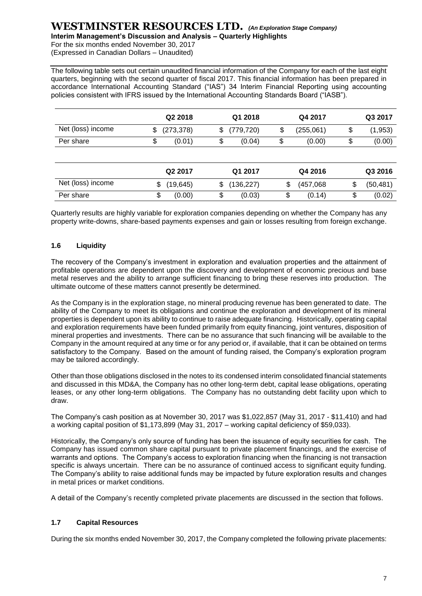**Interim Management's Discussion and Analysis – Quarterly Highlights**

For the six months ended November 30, 2017 (Expressed in Canadian Dollars – Unaudited)

The following table sets out certain unaudited financial information of the Company for each of the last eight quarters, beginning with the second quarter of fiscal 2017. This financial information has been prepared in accordance International Accounting Standard ("IAS") 34 Interim Financial Reporting using accounting policies consistent with IFRS issued by the International Accounting Standards Board ("IASB").

|                   | Q <sub>2</sub> 2018 |   | Q1 2018       | Q4 2017      |   | Q3 2017 |
|-------------------|---------------------|---|---------------|--------------|---|---------|
| Net (loss) income | \$<br>(273, 378)    |   | \$ (779, 720) | (255,061)    |   | (1,953) |
| Per share         | \$<br>(0.01)        | Ψ | (0.04)        | \$<br>(0.00) | Ψ | (0.00)  |

|                   | Q <sub>2</sub> 2017 |   | Q1 2017    |    | Q4 2016  |   | Q3 2016  |
|-------------------|---------------------|---|------------|----|----------|---|----------|
| Net (loss) income | \$(19,645)          |   | (136, 227) | S. | (457,068 |   | (50,481) |
| Per share         | (0.00)              | S | (0.03)     |    | (0.14)   | S | (0.02)   |

Quarterly results are highly variable for exploration companies depending on whether the Company has any property write-downs, share-based payments expenses and gain or losses resulting from foreign exchange.

### **1.6 Liquidity**

The recovery of the Company's investment in exploration and evaluation properties and the attainment of profitable operations are dependent upon the discovery and development of economic precious and base metal reserves and the ability to arrange sufficient financing to bring these reserves into production. The ultimate outcome of these matters cannot presently be determined.

As the Company is in the exploration stage, no mineral producing revenue has been generated to date. The ability of the Company to meet its obligations and continue the exploration and development of its mineral properties is dependent upon its ability to continue to raise adequate financing. Historically, operating capital and exploration requirements have been funded primarily from equity financing, joint ventures, disposition of mineral properties and investments. There can be no assurance that such financing will be available to the Company in the amount required at any time or for any period or, if available, that it can be obtained on terms satisfactory to the Company. Based on the amount of funding raised, the Company's exploration program may be tailored accordingly.

Other than those obligations disclosed in the notes to its condensed interim consolidated financial statements and discussed in this MD&A, the Company has no other long-term debt, capital lease obligations, operating leases, or any other long-term obligations. The Company has no outstanding debt facility upon which to draw.

The Company's cash position as at November 30, 2017 was \$1,022,857 (May 31, 2017 - \$11,410) and had a working capital position of \$1,173,899 (May 31, 2017 – working capital deficiency of \$59,033).

Historically, the Company's only source of funding has been the issuance of equity securities for cash. The Company has issued common share capital pursuant to private placement financings, and the exercise of warrants and options. The Company's access to exploration financing when the financing is not transaction specific is always uncertain. There can be no assurance of continued access to significant equity funding. The Company's ability to raise additional funds may be impacted by future exploration results and changes in metal prices or market conditions.

A detail of the Company's recently completed private placements are discussed in the section that follows.

#### **1.7 Capital Resources**

During the six months ended November 30, 2017, the Company completed the following private placements: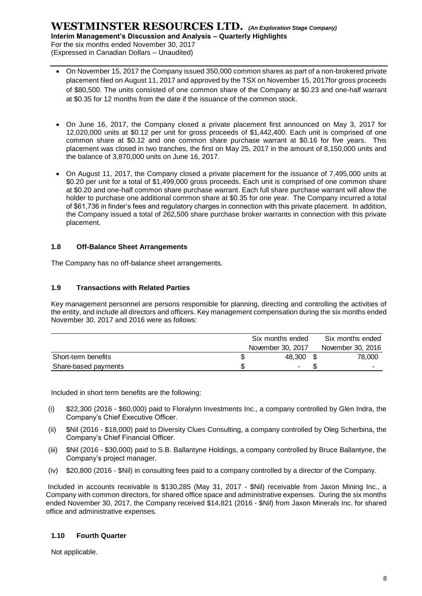**Interim Management's Discussion and Analysis – Quarterly Highlights** For the six months ended November 30, 2017

(Expressed in Canadian Dollars – Unaudited)

- On November 15, 2017 the Company issued 350,000 common shares as part of a non-brokered private placement filed on August 11, 2017 and approved by the TSX on November 15, 2017for gross proceeds of \$80,500. The units consisted of one common share of the Company at \$0.23 and one-half warrant at \$0.35 for 12 months from the date if the issuance of the common stock.
- On June 16, 2017, the Company closed a private placement first announced on May 3, 2017 for 12,020,000 units at \$0.12 per unit for gross proceeds of \$1,442,400. Each unit is comprised of one common share at \$0.12 and one common share purchase warrant at \$0.16 for five years. This placement was closed in two tranches, the first on May 25, 2017 in the amount of 8,150,000 units and the balance of 3,870,000 units on June 16, 2017.
- On August 11, 2017, the Company closed a private placement for the issuance of 7,495,000 units at \$0.20 per unit for a total of \$1,499,000 gross proceeds. Each unit is comprised of one common share at \$0.20 and one-half common share purchase warrant. Each full share purchase warrant will allow the holder to purchase one additional common share at \$0.35 for one year. The Company incurred a total of \$61,736 in finder's fees and regulatory charges in connection with this private placement. In addition, the Company issued a total of 262,500 share purchase broker warrants in connection with this private placement.

#### **1.8 Off-Balance Sheet Arrangements**

The Company has no off-balance sheet arrangements.

#### **1.9 Transactions with Related Parties**

Key management personnel are persons responsible for planning, directing and controlling the activities of the entity, and include all directors and officers. Key management compensation during the six months ended November 30, 2017 and 2016 were as follows:

|                      | Six months ended  | Six months ended  |  |
|----------------------|-------------------|-------------------|--|
|                      | November 30, 2017 | November 30, 2016 |  |
| Short-term benefits  | 48.300 \$         | 78.000            |  |
| Share-based payments |                   | ۰                 |  |

Included in short term benefits are the following:

- (i) \$22,300 (2016 \$60,000) paid to Floralynn Investments Inc., a company controlled by Glen Indra, the Company's Chief Executive Officer.
- (ii) \$Nil (2016 \$18,000) paid to Diversity Clues Consulting, a company controlled by Oleg Scherbina, the Company's Chief Financial Officer.
- (iii) \$Nil (2016 \$30,000) paid to S.B. Ballantyne Holdings, a company controlled by Bruce Ballantyne, the Company's project manager.
- (iv) \$20,800 (2016 \$Nil) in consulting fees paid to a company controlled by a director of the Company.

Included in accounts receivable is \$130,285 (May 31, 2017 - \$Nil) receivable from Jaxon Mining Inc., a Company with common directors, for shared office space and administrative expenses. During the six months ended November 30, 2017, the Company received \$14,821 (2016 - \$Nil) from Jaxon Minerals Inc. for shared office and administrative expenses.

#### **1.10 Fourth Quarter**

Not applicable.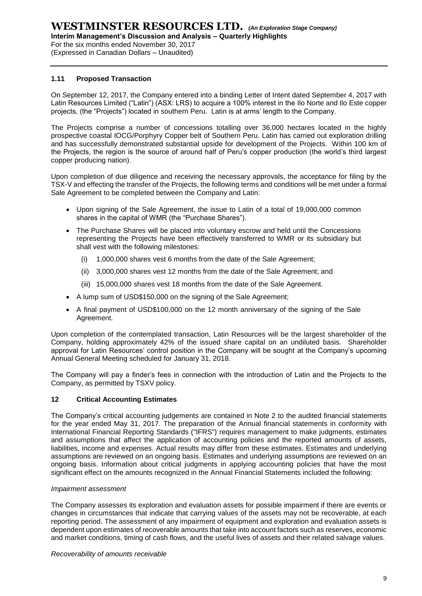(Expressed in Canadian Dollars – Unaudited)

#### **1.11 Proposed Transaction**

On September 12, 2017, the Company entered into a binding Letter of Intent dated September 4, 2017 with Latin Resources Limited ("Latin") (ASX: LRS) to acquire a 100% interest in the Ilo Norte and Ilo Este copper projects, (the "Projects") located in southern Peru. Latin is at arms' length to the Company.

The Projects comprise a number of concessions totalling over 36,000 hectares located in the highly prospective coastal IOCG/Porphyry Copper belt of Southern Peru. Latin has carried out exploration drilling and has successfully demonstrated substantial upside for development of the Projects. Within 100 km of the Projects, the region is the source of around half of Peru's copper production (the world's third largest copper producing nation).

Upon completion of due diligence and receiving the necessary approvals, the acceptance for filing by the TSX-V and effecting the transfer of the Projects, the following terms and conditions will be met under a formal Sale Agreement to be completed between the Company and Latin:

- Upon signing of the Sale Agreement, the issue to Latin of a total of 19,000,000 common shares in the capital of WMR (the "Purchase Shares").
- The Purchase Shares will be placed into voluntary escrow and held until the Concessions representing the Projects have been effectively transferred to WMR or its subsidiary but shall vest with the following milestones:
	- (i) 1,000,000 shares vest 6 months from the date of the Sale Agreement;
	- (ii) 3,000,000 shares vest 12 months from the date of the Sale Agreement; and
	- (iii) 15,000,000 shares vest 18 months from the date of the Sale Agreement.
- A lump sum of USD\$150,000 on the signing of the Sale Agreement;
- A final payment of USD\$100,000 on the 12 month anniversary of the signing of the Sale Agreement.

Upon completion of the contemplated transaction, Latin Resources will be the largest shareholder of the Company, holding approximately 42% of the issued share capital on an undiluted basis. Shareholder approval for Latin Resources' control position in the Company will be sought at the Company's upcoming Annual General Meeting scheduled for January 31, 2018.

The Company will pay a finder's fees in connection with the introduction of Latin and the Projects to the Company, as permitted by TSXV policy.

#### **12 Critical Accounting Estimates**

The Company's critical accounting judgements are contained in Note 2 to the audited financial statements for the year ended May 31, 2017. The preparation of the Annual financial statements in conformity with International Financial Reporting Standards ("IFRS") requires management to make judgments, estimates and assumptions that affect the application of accounting policies and the reported amounts of assets, liabilities, income and expenses. Actual results may differ from these estimates. Estimates and underlying assumptions are reviewed on an ongoing basis. Estimates and underlying assumptions are reviewed on an ongoing basis. Information about critical judgments in applying accounting policies that have the most significant effect on the amounts recognized in the Annual Financial Statements included the following:

#### *Impairment assessment*

The Company assesses its exploration and evaluation assets for possible impairment if there are events or changes in circumstances that indicate that carrying values of the assets may not be recoverable, at each reporting period. The assessment of any impairment of equipment and exploration and evaluation assets is dependent upon estimates of recoverable amounts that take into account factors such as reserves, economic and market conditions, timing of cash flows, and the useful lives of assets and their related salvage values.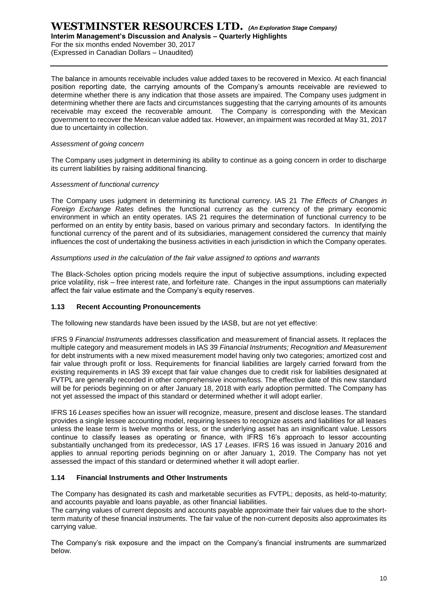**Interim Management's Discussion and Analysis – Quarterly Highlights**

For the six months ended November 30, 2017

(Expressed in Canadian Dollars – Unaudited)

The balance in amounts receivable includes value added taxes to be recovered in Mexico. At each financial position reporting date, the carrying amounts of the Company's amounts receivable are reviewed to determine whether there is any indication that those assets are impaired. The Company uses judgment in determining whether there are facts and circumstances suggesting that the carrying amounts of its amounts receivable may exceed the recoverable amount. The Company is corresponding with the Mexican government to recover the Mexican value added tax. However, an impairment was recorded at May 31, 2017 due to uncertainty in collection.

#### *Assessment of going concern*

The Company uses judgment in determining its ability to continue as a going concern in order to discharge its current liabilities by raising additional financing.

#### *Assessment of functional currency*

The Company uses judgment in determining its functional currency. IAS 21 *The Effects of Changes in Foreign Exchange Rates* defines the functional currency as the currency of the primary economic environment in which an entity operates. IAS 21 requires the determination of functional currency to be performed on an entity by entity basis, based on various primary and secondary factors. In identifying the functional currency of the parent and of its subsidiaries, management considered the currency that mainly influences the cost of undertaking the business activities in each jurisdiction in which the Company operates.

#### *Assumptions used in the calculation of the fair value assigned to options and warrants*

The Black-Scholes option pricing models require the input of subjective assumptions, including expected price volatility, risk – free interest rate, and forfeiture rate. Changes in the input assumptions can materially affect the fair value estimate and the Company's equity reserves.

#### **1.13 Recent Accounting Pronouncements**

The following new standards have been issued by the IASB, but are not yet effective:

IFRS 9 *Financial Instruments* addresses classification and measurement of financial assets. It replaces the multiple category and measurement models in IAS 39 *Financial Instruments; Recognition and Measurement* for debt instruments with a new mixed measurement model having only two categories; amortized cost and fair value through profit or loss. Requirements for financial liabilities are largely carried forward from the existing requirements in IAS 39 except that fair value changes due to credit risk for liabilities designated at FVTPL are generally recorded in other comprehensive income/loss. The effective date of this new standard will be for periods beginning on or after January 18, 2018 with early adoption permitted. The Company has not yet assessed the impact of this standard or determined whether it will adopt earlier.

IFRS 16 *Leases* specifies how an issuer will recognize, measure, present and disclose leases. The standard provides a single lessee accounting model, requiring lessees to recognize assets and liabilities for all leases unless the lease term is twelve months or less, or the underlying asset has an insignificant value. Lessors continue to classify leases as operating or finance, with IFRS 16's approach to lessor accounting substantially unchanged from its predecessor, IAS 17 *Leases*. IFRS 16 was issued in January 2016 and applies to annual reporting periods beginning on or after January 1, 2019. The Company has not yet assessed the impact of this standard or determined whether it will adopt earlier.

#### **1.14 Financial Instruments and Other Instruments**

The Company has designated its cash and marketable securities as FVTPL; deposits, as held-to-maturity; and accounts payable and loans payable, as other financial liabilities.

The carrying values of current deposits and accounts payable approximate their fair values due to the shortterm maturity of these financial instruments. The fair value of the non-current deposits also approximates its carrying value.

The Company's risk exposure and the impact on the Company's financial instruments are summarized below.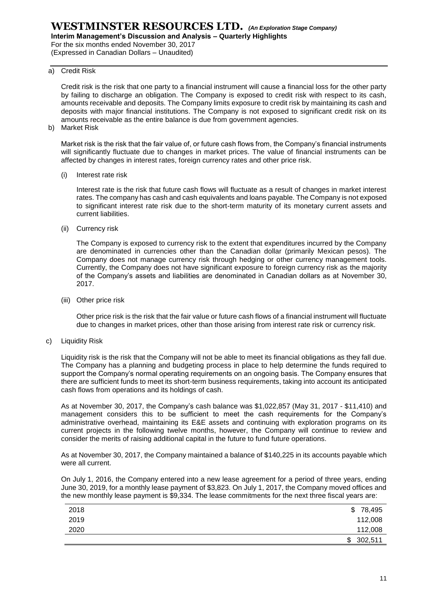**Interim Management's Discussion and Analysis – Quarterly Highlights**

For the six months ended November 30, 2017 (Expressed in Canadian Dollars – Unaudited)

#### a) Credit Risk

Credit risk is the risk that one party to a financial instrument will cause a financial loss for the other party by failing to discharge an obligation. The Company is exposed to credit risk with respect to its cash, amounts receivable and deposits. The Company limits exposure to credit risk by maintaining its cash and deposits with major financial institutions. The Company is not exposed to significant credit risk on its amounts receivable as the entire balance is due from government agencies.

b) Market Risk

Market risk is the risk that the fair value of, or future cash flows from, the Company's financial instruments will significantly fluctuate due to changes in market prices. The value of financial instruments can be affected by changes in interest rates, foreign currency rates and other price risk.

(i) Interest rate risk

Interest rate is the risk that future cash flows will fluctuate as a result of changes in market interest rates. The company has cash and cash equivalents and loans payable. The Company is not exposed to significant interest rate risk due to the short-term maturity of its monetary current assets and current liabilities.

(ii) Currency risk

The Company is exposed to currency risk to the extent that expenditures incurred by the Company are denominated in currencies other than the Canadian dollar (primarily Mexican pesos). The Company does not manage currency risk through hedging or other currency management tools. Currently, the Company does not have significant exposure to foreign currency risk as the majority of the Company's assets and liabilities are denominated in Canadian dollars as at November 30, 2017.

(iii) Other price risk

Other price risk is the risk that the fair value or future cash flows of a financial instrument will fluctuate due to changes in market prices, other than those arising from interest rate risk or currency risk.

c) Liquidity Risk

Liquidity risk is the risk that the Company will not be able to meet its financial obligations as they fall due. The Company has a planning and budgeting process in place to help determine the funds required to support the Company's normal operating requirements on an ongoing basis. The Company ensures that there are sufficient funds to meet its short-term business requirements, taking into account its anticipated cash flows from operations and its holdings of cash.

As at November 30, 2017, the Company's cash balance was \$1,022,857 (May 31, 2017 - \$11,410) and management considers this to be sufficient to meet the cash requirements for the Company's administrative overhead, maintaining its E&E assets and continuing with exploration programs on its current projects in the following twelve months, however, the Company will continue to review and consider the merits of raising additional capital in the future to fund future operations.

As at November 30, 2017, the Company maintained a balance of \$140,225 in its accounts payable which were all current.

On July 1, 2016, the Company entered into a new lease agreement for a period of three years, ending June 30, 2019, for a monthly lease payment of \$3,823. On July 1, 2017, the Company moved offices and the new monthly lease payment is \$9,334. The lease commitments for the next three fiscal years are:

| 2018 | 78,495<br>\$ |
|------|--------------|
| 2019 | 112,008      |
| 2020 | 112,008      |
|      | \$302,511    |